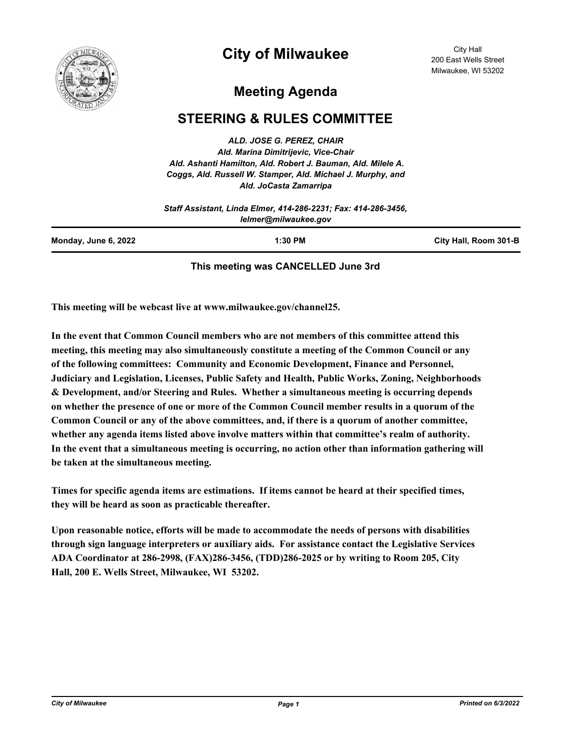

## **City of Milwaukee**

City Hall 200 East Wells Street Milwaukee, WI 53202

## **Meeting Agenda**

## **STEERING & RULES COMMITTEE**

*ALD. JOSE G. PEREZ, CHAIR Ald. Marina Dimitrijevic, Vice-Chair Ald. Ashanti Hamilton, Ald. Robert J. Bauman, Ald. Milele A. Coggs, Ald. Russell W. Stamper, Ald. Michael J. Murphy, and Ald. JoCasta Zamarripa*

|                      | Staff Assistant, Linda Elmer, 414-286-2231; Fax: 414-286-3456,<br>lelmer@milwaukee.gov |                       |
|----------------------|----------------------------------------------------------------------------------------|-----------------------|
| Monday, June 6, 2022 | $1:30$ PM                                                                              | City Hall, Room 301-B |

## **This meeting was CANCELLED June 3rd**

**This meeting will be webcast live at www.milwaukee.gov/channel25.**

**In the event that Common Council members who are not members of this committee attend this meeting, this meeting may also simultaneously constitute a meeting of the Common Council or any of the following committees: Community and Economic Development, Finance and Personnel, Judiciary and Legislation, Licenses, Public Safety and Health, Public Works, Zoning, Neighborhoods & Development, and/or Steering and Rules. Whether a simultaneous meeting is occurring depends on whether the presence of one or more of the Common Council member results in a quorum of the Common Council or any of the above committees, and, if there is a quorum of another committee, whether any agenda items listed above involve matters within that committee's realm of authority. In the event that a simultaneous meeting is occurring, no action other than information gathering will be taken at the simultaneous meeting.**

**Times for specific agenda items are estimations. If items cannot be heard at their specified times, they will be heard as soon as practicable thereafter.**

**Upon reasonable notice, efforts will be made to accommodate the needs of persons with disabilities through sign language interpreters or auxiliary aids. For assistance contact the Legislative Services ADA Coordinator at 286-2998, (FAX)286-3456, (TDD)286-2025 or by writing to Room 205, City Hall, 200 E. Wells Street, Milwaukee, WI 53202.**